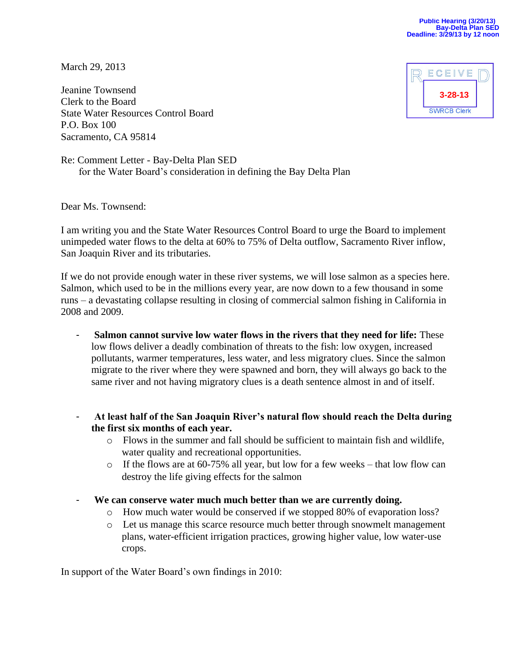March 29, 2013

Jeanine Townsend Clerk to the Board State Water Resources Control Board P.O. Box 100 Sacramento, CA 95814



Re: Comment Letter - Bay-Delta Plan SED for the Water Board's consideration in defining the Bay Delta Plan

Dear Ms. Townsend:

I am writing you and the State Water Resources Control Board to urge the Board to implement unimpeded water flows to the delta at 60% to 75% of Delta outflow, Sacramento River inflow, San Joaquin River and its tributaries.

If we do not provide enough water in these river systems, we will lose salmon as a species here. Salmon, which used to be in the millions every year, are now down to a few thousand in some runs – a devastating collapse resulting in closing of commercial salmon fishing in California in 2008 and 2009.

- **Salmon cannot survive low water flows in the rivers that they need for life:** These low flows deliver a deadly combination of threats to the fish: low oxygen, increased pollutants, warmer temperatures, less water, and less migratory clues. Since the salmon migrate to the river where they were spawned and born, they will always go back to the same river and not having migratory clues is a death sentence almost in and of itself.
- **At least half of the San Joaquin River's natural flow should reach the Delta during the first six months of each year.**
	- o Flows in the summer and fall should be sufficient to maintain fish and wildlife, water quality and recreational opportunities.
	- o If the flows are at 60-75% all year, but low for a few weeks that low flow can destroy the life giving effects for the salmon
- We can conserve water much much better than we are currently doing.
	- o How much water would be conserved if we stopped 80% of evaporation loss?
	- o Let us manage this scarce resource much better through snowmelt management plans, water-efficient irrigation practices, growing higher value, low water-use crops.

In support of the Water Board's own findings in 2010: